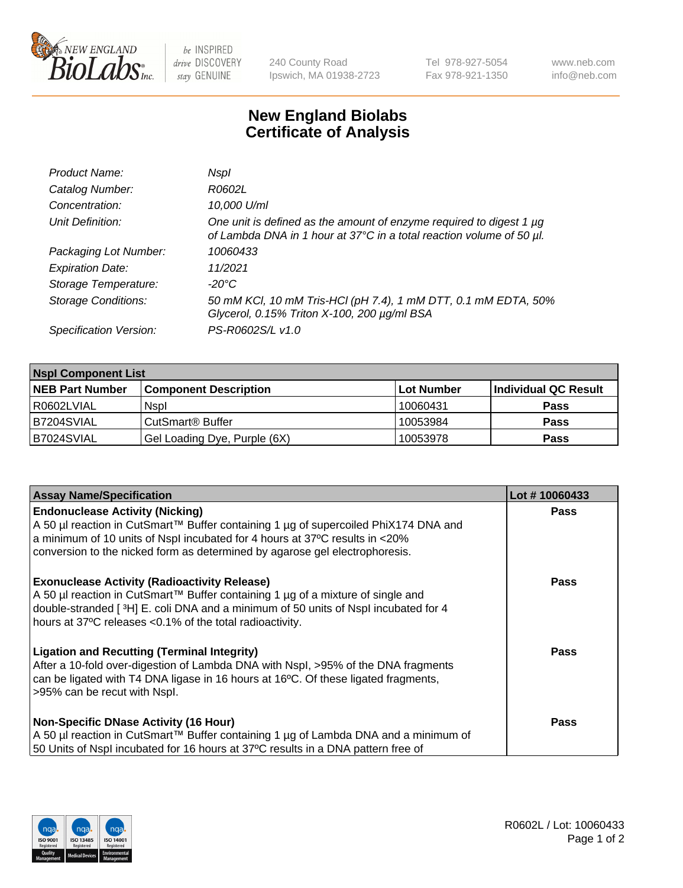

 $be$  INSPIRED drive DISCOVERY stay GENUINE

240 County Road Ipswich, MA 01938-2723 Tel 978-927-5054 Fax 978-921-1350 www.neb.com info@neb.com

## **New England Biolabs Certificate of Analysis**

| Product Name:              | Nspl                                                                                                                                        |
|----------------------------|---------------------------------------------------------------------------------------------------------------------------------------------|
| Catalog Number:            | R0602L                                                                                                                                      |
| Concentration:             | 10,000 U/ml                                                                                                                                 |
| Unit Definition:           | One unit is defined as the amount of enzyme required to digest 1 µg<br>of Lambda DNA in 1 hour at 37°C in a total reaction volume of 50 µl. |
| Packaging Lot Number:      | 10060433                                                                                                                                    |
| <b>Expiration Date:</b>    | 11/2021                                                                                                                                     |
| Storage Temperature:       | -20°C                                                                                                                                       |
| <b>Storage Conditions:</b> | 50 mM KCl, 10 mM Tris-HCl (pH 7.4), 1 mM DTT, 0.1 mM EDTA, 50%<br>Glycerol, 0.15% Triton X-100, 200 µg/ml BSA                               |
| Specification Version:     | PS-R0602S/L v1.0                                                                                                                            |

| <b>Nspl Component List</b> |                              |            |                      |  |  |
|----------------------------|------------------------------|------------|----------------------|--|--|
| <b>NEB Part Number</b>     | <b>Component Description</b> | Lot Number | Individual QC Result |  |  |
| R0602LVIAL                 | <b>Nspl</b>                  | 10060431   | <b>Pass</b>          |  |  |
| B7204SVIAL                 | CutSmart® Buffer             | 10053984   | <b>Pass</b>          |  |  |
| B7024SVIAL                 | Gel Loading Dye, Purple (6X) | 10053978   | <b>Pass</b>          |  |  |

| <b>Assay Name/Specification</b>                                                                                                                            | Lot #10060433 |
|------------------------------------------------------------------------------------------------------------------------------------------------------------|---------------|
| <b>Endonuclease Activity (Nicking)</b>                                                                                                                     | <b>Pass</b>   |
| A 50 µl reaction in CutSmart™ Buffer containing 1 µg of supercoiled PhiX174 DNA and                                                                        |               |
| a minimum of 10 units of Nspl incubated for 4 hours at 37°C results in <20%<br>conversion to the nicked form as determined by agarose gel electrophoresis. |               |
|                                                                                                                                                            |               |
| <b>Exonuclease Activity (Radioactivity Release)</b>                                                                                                        | <b>Pass</b>   |
| A 50 µl reaction in CutSmart™ Buffer containing 1 µg of a mixture of single and                                                                            |               |
| double-stranded [3H] E. coli DNA and a minimum of 50 units of Nspl incubated for 4<br>hours at 37°C releases <0.1% of the total radioactivity.             |               |
|                                                                                                                                                            |               |
| <b>Ligation and Recutting (Terminal Integrity)</b>                                                                                                         | <b>Pass</b>   |
| After a 10-fold over-digestion of Lambda DNA with Nspl, >95% of the DNA fragments                                                                          |               |
| can be ligated with T4 DNA ligase in 16 hours at 16°C. Of these ligated fragments,                                                                         |               |
| >95% can be recut with Nspl.                                                                                                                               |               |
| <b>Non-Specific DNase Activity (16 Hour)</b>                                                                                                               | <b>Pass</b>   |
| A 50 µl reaction in CutSmart™ Buffer containing 1 µg of Lambda DNA and a minimum of                                                                        |               |
| 50 Units of Nspl incubated for 16 hours at 37°C results in a DNA pattern free of                                                                           |               |